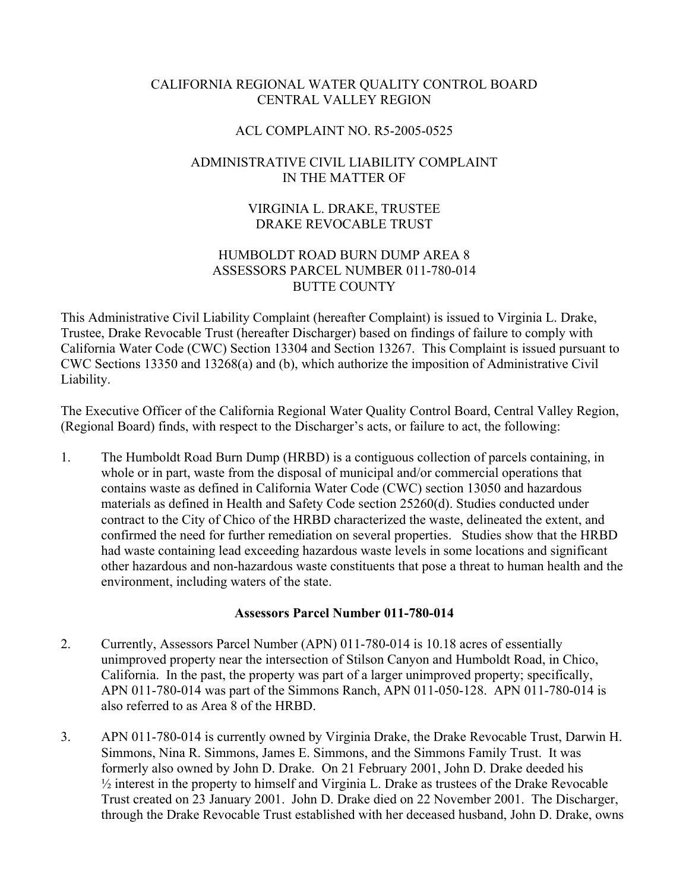# CALIFORNIA REGIONAL WATER QUALITY CONTROL BOARD CENTRAL VALLEY REGION

### ACL COMPLAINT NO. R5-2005-0525

# ADMINISTRATIVE CIVIL LIABILITY COMPLAINT IN THE MATTER OF

# VIRGINIA L. DRAKE, TRUSTEE DRAKE REVOCABLE TRUST

### HUMBOLDT ROAD BURN DUMP AREA 8 ASSESSORS PARCEL NUMBER 011-780-014 BUTTE COUNTY

This Administrative Civil Liability Complaint (hereafter Complaint) is issued to Virginia L. Drake, Trustee, Drake Revocable Trust (hereafter Discharger) based on findings of failure to comply with California Water Code (CWC) Section 13304 and Section 13267. This Complaint is issued pursuant to CWC Sections 13350 and 13268(a) and (b), which authorize the imposition of Administrative Civil Liability.

The Executive Officer of the California Regional Water Quality Control Board, Central Valley Region, (Regional Board) finds, with respect to the Discharger's acts, or failure to act, the following:

1. The Humboldt Road Burn Dump (HRBD) is a contiguous collection of parcels containing, in whole or in part, waste from the disposal of municipal and/or commercial operations that contains waste as defined in California Water Code (CWC) section 13050 and hazardous materials as defined in Health and Safety Code section 25260(d). Studies conducted under contract to the City of Chico of the HRBD characterized the waste, delineated the extent, and confirmed the need for further remediation on several properties. Studies show that the HRBD had waste containing lead exceeding hazardous waste levels in some locations and significant other hazardous and non-hazardous waste constituents that pose a threat to human health and the environment, including waters of the state.

### **Assessors Parcel Number 011-780-014**

- 2. Currently, Assessors Parcel Number (APN) 011-780-014 is 10.18 acres of essentially unimproved property near the intersection of Stilson Canyon and Humboldt Road, in Chico, California. In the past, the property was part of a larger unimproved property; specifically, APN 011-780-014 was part of the Simmons Ranch, APN 011-050-128. APN 011-780-014 is also referred to as Area 8 of the HRBD.
- 3. APN 011-780-014 is currently owned by Virginia Drake, the Drake Revocable Trust, Darwin H. Simmons, Nina R. Simmons, James E. Simmons, and the Simmons Family Trust. It was formerly also owned by John D. Drake. On 21 February 2001, John D. Drake deeded his ½ interest in the property to himself and Virginia L. Drake as trustees of the Drake Revocable Trust created on 23 January 2001. John D. Drake died on 22 November 2001. The Discharger, through the Drake Revocable Trust established with her deceased husband, John D. Drake, owns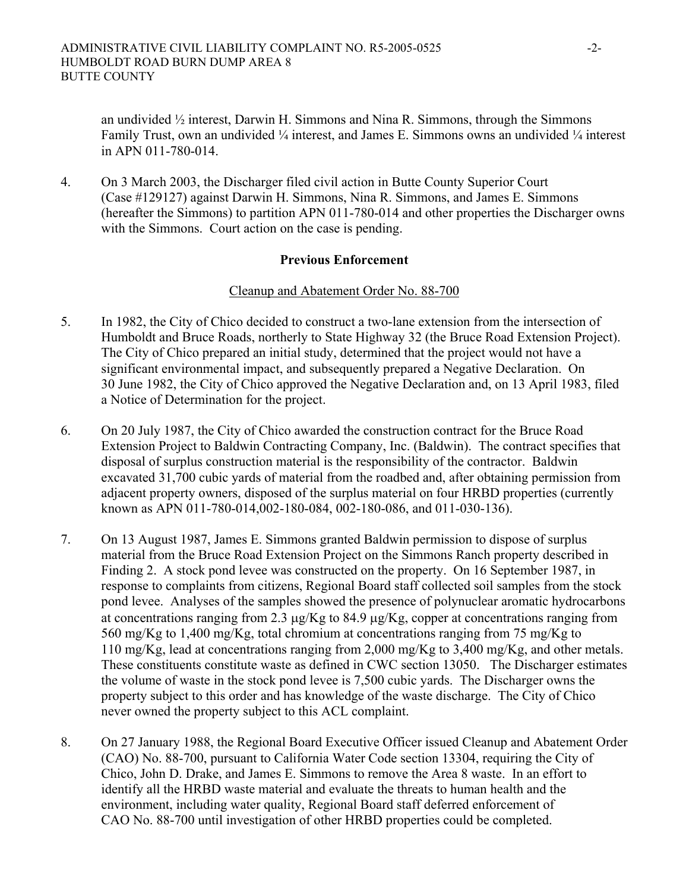an undivided  $\frac{1}{2}$  interest, Darwin H. Simmons and Nina R. Simmons, through the Simmons Family Trust, own an undivided ¼ interest, and James E. Simmons owns an undivided ¼ interest in APN 011-780-014.

4. On 3 March 2003, the Discharger filed civil action in Butte County Superior Court (Case #129127) against Darwin H. Simmons, Nina R. Simmons, and James E. Simmons (hereafter the Simmons) to partition APN 011-780-014 and other properties the Discharger owns with the Simmons. Court action on the case is pending.

### **Previous Enforcement**

#### Cleanup and Abatement Order No. 88-700

- 5. In 1982, the City of Chico decided to construct a two-lane extension from the intersection of Humboldt and Bruce Roads, northerly to State Highway 32 (the Bruce Road Extension Project). The City of Chico prepared an initial study, determined that the project would not have a significant environmental impact, and subsequently prepared a Negative Declaration. On 30 June 1982, the City of Chico approved the Negative Declaration and, on 13 April 1983, filed a Notice of Determination for the project.
- 6. On 20 July 1987, the City of Chico awarded the construction contract for the Bruce Road Extension Project to Baldwin Contracting Company, Inc. (Baldwin). The contract specifies that disposal of surplus construction material is the responsibility of the contractor. Baldwin excavated 31,700 cubic yards of material from the roadbed and, after obtaining permission from adjacent property owners, disposed of the surplus material on four HRBD properties (currently known as APN 011-780-014,002-180-084, 002-180-086, and 011-030-136).
- 7. On 13 August 1987, James E. Simmons granted Baldwin permission to dispose of surplus material from the Bruce Road Extension Project on the Simmons Ranch property described in Finding 2. A stock pond levee was constructed on the property. On 16 September 1987, in response to complaints from citizens, Regional Board staff collected soil samples from the stock pond levee. Analyses of the samples showed the presence of polynuclear aromatic hydrocarbons at concentrations ranging from 2.3 µg/Kg to 84.9 µg/Kg, copper at concentrations ranging from 560 mg/Kg to 1,400 mg/Kg, total chromium at concentrations ranging from 75 mg/Kg to 110 mg/Kg, lead at concentrations ranging from 2,000 mg/Kg to 3,400 mg/Kg, and other metals. These constituents constitute waste as defined in CWC section 13050. The Discharger estimates the volume of waste in the stock pond levee is 7,500 cubic yards. The Discharger owns the property subject to this order and has knowledge of the waste discharge. The City of Chico never owned the property subject to this ACL complaint.
- 8. On 27 January 1988, the Regional Board Executive Officer issued Cleanup and Abatement Order (CAO) No. 88-700, pursuant to California Water Code section 13304, requiring the City of Chico, John D. Drake, and James E. Simmons to remove the Area 8 waste. In an effort to identify all the HRBD waste material and evaluate the threats to human health and the environment, including water quality, Regional Board staff deferred enforcement of CAO No. 88-700 until investigation of other HRBD properties could be completed.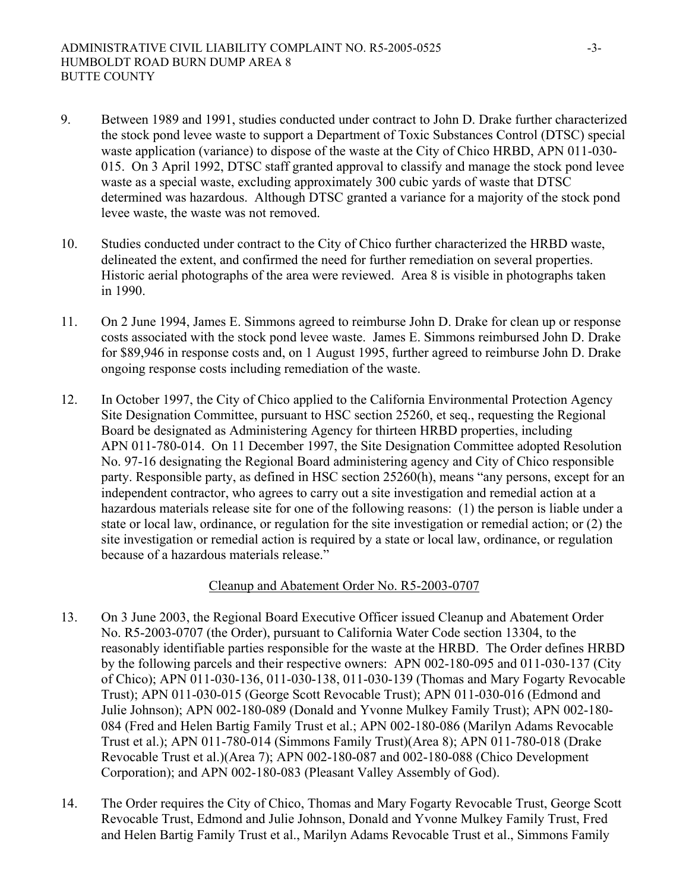- 9. Between 1989 and 1991, studies conducted under contract to John D. Drake further characterized the stock pond levee waste to support a Department of Toxic Substances Control (DTSC) special waste application (variance) to dispose of the waste at the City of Chico HRBD, APN 011-030- 015. On 3 April 1992, DTSC staff granted approval to classify and manage the stock pond levee waste as a special waste, excluding approximately 300 cubic yards of waste that DTSC determined was hazardous. Although DTSC granted a variance for a majority of the stock pond levee waste, the waste was not removed.
- 10. Studies conducted under contract to the City of Chico further characterized the HRBD waste, delineated the extent, and confirmed the need for further remediation on several properties. Historic aerial photographs of the area were reviewed. Area 8 is visible in photographs taken in 1990.
- 11. On 2 June 1994, James E. Simmons agreed to reimburse John D. Drake for clean up or response costs associated with the stock pond levee waste. James E. Simmons reimbursed John D. Drake for \$89,946 in response costs and, on 1 August 1995, further agreed to reimburse John D. Drake ongoing response costs including remediation of the waste.
- 12. In October 1997, the City of Chico applied to the California Environmental Protection Agency Site Designation Committee, pursuant to HSC section 25260, et seq., requesting the Regional Board be designated as Administering Agency for thirteen HRBD properties, including APN 011-780-014. On 11 December 1997, the Site Designation Committee adopted Resolution No. 97-16 designating the Regional Board administering agency and City of Chico responsible party. Responsible party, as defined in HSC section 25260(h), means "any persons, except for an independent contractor, who agrees to carry out a site investigation and remedial action at a hazardous materials release site for one of the following reasons: (1) the person is liable under a state or local law, ordinance, or regulation for the site investigation or remedial action; or (2) the site investigation or remedial action is required by a state or local law, ordinance, or regulation because of a hazardous materials release."

#### Cleanup and Abatement Order No. R5-2003-0707

- 13. On 3 June 2003, the Regional Board Executive Officer issued Cleanup and Abatement Order No. R5-2003-0707 (the Order), pursuant to California Water Code section 13304, to the reasonably identifiable parties responsible for the waste at the HRBD. The Order defines HRBD by the following parcels and their respective owners: APN 002-180-095 and 011-030-137 (City of Chico); APN 011-030-136, 011-030-138, 011-030-139 (Thomas and Mary Fogarty Revocable Trust); APN 011-030-015 (George Scott Revocable Trust); APN 011-030-016 (Edmond and Julie Johnson); APN 002-180-089 (Donald and Yvonne Mulkey Family Trust); APN 002-180- 084 (Fred and Helen Bartig Family Trust et al.; APN 002-180-086 (Marilyn Adams Revocable Trust et al.); APN 011-780-014 (Simmons Family Trust)(Area 8); APN 011-780-018 (Drake Revocable Trust et al.)(Area 7); APN 002-180-087 and 002-180-088 (Chico Development Corporation); and APN 002-180-083 (Pleasant Valley Assembly of God).
- 14. The Order requires the City of Chico, Thomas and Mary Fogarty Revocable Trust, George Scott Revocable Trust, Edmond and Julie Johnson, Donald and Yvonne Mulkey Family Trust, Fred and Helen Bartig Family Trust et al., Marilyn Adams Revocable Trust et al., Simmons Family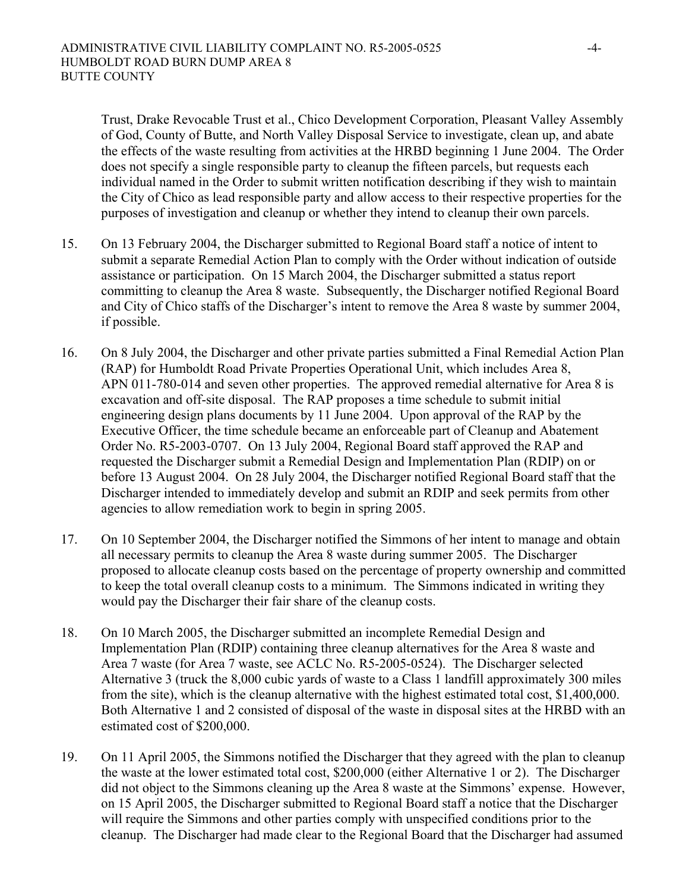Trust, Drake Revocable Trust et al., Chico Development Corporation, Pleasant Valley Assembly of God, County of Butte, and North Valley Disposal Service to investigate, clean up, and abate the effects of the waste resulting from activities at the HRBD beginning 1 June 2004. The Order does not specify a single responsible party to cleanup the fifteen parcels, but requests each individual named in the Order to submit written notification describing if they wish to maintain the City of Chico as lead responsible party and allow access to their respective properties for the purposes of investigation and cleanup or whether they intend to cleanup their own parcels.

- 15. On 13 February 2004, the Discharger submitted to Regional Board staff a notice of intent to submit a separate Remedial Action Plan to comply with the Order without indication of outside assistance or participation. On 15 March 2004, the Discharger submitted a status report committing to cleanup the Area 8 waste. Subsequently, the Discharger notified Regional Board and City of Chico staffs of the Discharger's intent to remove the Area 8 waste by summer 2004, if possible.
- 16. On 8 July 2004, the Discharger and other private parties submitted a Final Remedial Action Plan (RAP) for Humboldt Road Private Properties Operational Unit, which includes Area 8, APN 011-780-014 and seven other properties. The approved remedial alternative for Area 8 is excavation and off-site disposal. The RAP proposes a time schedule to submit initial engineering design plans documents by 11 June 2004. Upon approval of the RAP by the Executive Officer, the time schedule became an enforceable part of Cleanup and Abatement Order No. R5-2003-0707. On 13 July 2004, Regional Board staff approved the RAP and requested the Discharger submit a Remedial Design and Implementation Plan (RDIP) on or before 13 August 2004. On 28 July 2004, the Discharger notified Regional Board staff that the Discharger intended to immediately develop and submit an RDIP and seek permits from other agencies to allow remediation work to begin in spring 2005.
- 17. On 10 September 2004, the Discharger notified the Simmons of her intent to manage and obtain all necessary permits to cleanup the Area 8 waste during summer 2005. The Discharger proposed to allocate cleanup costs based on the percentage of property ownership and committed to keep the total overall cleanup costs to a minimum. The Simmons indicated in writing they would pay the Discharger their fair share of the cleanup costs.
- 18. On 10 March 2005, the Discharger submitted an incomplete Remedial Design and Implementation Plan (RDIP) containing three cleanup alternatives for the Area 8 waste and Area 7 waste (for Area 7 waste, see ACLC No. R5-2005-0524). The Discharger selected Alternative 3 (truck the 8,000 cubic yards of waste to a Class 1 landfill approximately 300 miles from the site), which is the cleanup alternative with the highest estimated total cost, \$1,400,000. Both Alternative 1 and 2 consisted of disposal of the waste in disposal sites at the HRBD with an estimated cost of \$200,000.
- 19. On 11 April 2005, the Simmons notified the Discharger that they agreed with the plan to cleanup the waste at the lower estimated total cost, \$200,000 (either Alternative 1 or 2). The Discharger did not object to the Simmons cleaning up the Area 8 waste at the Simmons' expense. However, on 15 April 2005, the Discharger submitted to Regional Board staff a notice that the Discharger will require the Simmons and other parties comply with unspecified conditions prior to the cleanup. The Discharger had made clear to the Regional Board that the Discharger had assumed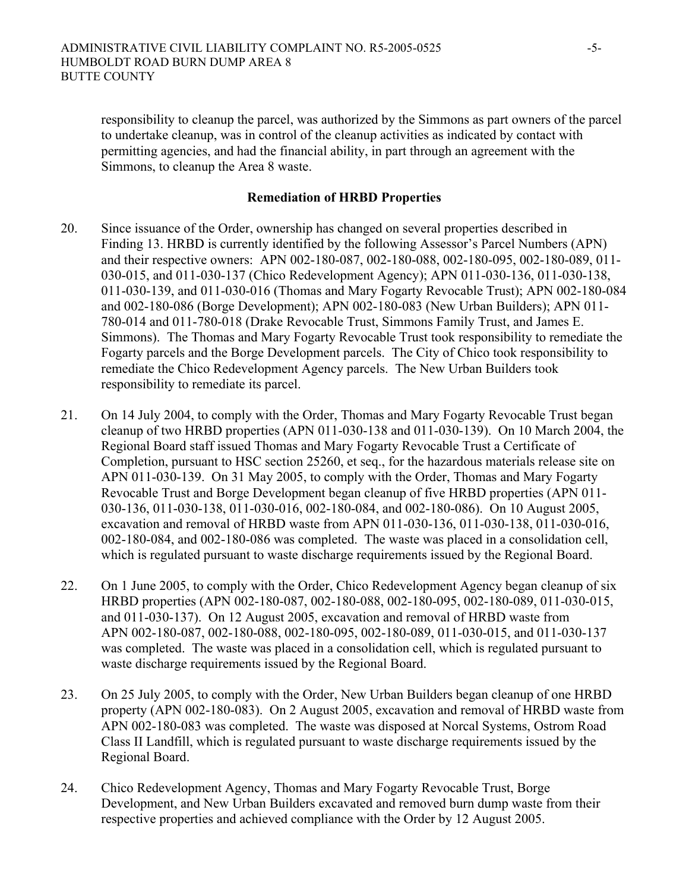responsibility to cleanup the parcel, was authorized by the Simmons as part owners of the parcel to undertake cleanup, was in control of the cleanup activities as indicated by contact with permitting agencies, and had the financial ability, in part through an agreement with the Simmons, to cleanup the Area 8 waste.

#### **Remediation of HRBD Properties**

- 20. Since issuance of the Order, ownership has changed on several properties described in Finding 13. HRBD is currently identified by the following Assessor's Parcel Numbers (APN) and their respective owners: APN 002-180-087, 002-180-088, 002-180-095, 002-180-089, 011- 030-015, and 011-030-137 (Chico Redevelopment Agency); APN 011-030-136, 011-030-138, 011-030-139, and 011-030-016 (Thomas and Mary Fogarty Revocable Trust); APN 002-180-084 and 002-180-086 (Borge Development); APN 002-180-083 (New Urban Builders); APN 011- 780-014 and 011-780-018 (Drake Revocable Trust, Simmons Family Trust, and James E. Simmons). The Thomas and Mary Fogarty Revocable Trust took responsibility to remediate the Fogarty parcels and the Borge Development parcels. The City of Chico took responsibility to remediate the Chico Redevelopment Agency parcels. The New Urban Builders took responsibility to remediate its parcel.
- 21. On 14 July 2004, to comply with the Order, Thomas and Mary Fogarty Revocable Trust began cleanup of two HRBD properties (APN 011-030-138 and 011-030-139). On 10 March 2004, the Regional Board staff issued Thomas and Mary Fogarty Revocable Trust a Certificate of Completion, pursuant to HSC section 25260, et seq., for the hazardous materials release site on APN 011-030-139. On 31 May 2005, to comply with the Order, Thomas and Mary Fogarty Revocable Trust and Borge Development began cleanup of five HRBD properties (APN 011- 030-136, 011-030-138, 011-030-016, 002-180-084, and 002-180-086). On 10 August 2005, excavation and removal of HRBD waste from APN 011-030-136, 011-030-138, 011-030-016, 002-180-084, and 002-180-086 was completed. The waste was placed in a consolidation cell, which is regulated pursuant to waste discharge requirements issued by the Regional Board.
- 22. On 1 June 2005, to comply with the Order, Chico Redevelopment Agency began cleanup of six HRBD properties (APN 002-180-087, 002-180-088, 002-180-095, 002-180-089, 011-030-015, and 011-030-137). On 12 August 2005, excavation and removal of HRBD waste from APN 002-180-087, 002-180-088, 002-180-095, 002-180-089, 011-030-015, and 011-030-137 was completed. The waste was placed in a consolidation cell, which is regulated pursuant to waste discharge requirements issued by the Regional Board.
- 23. On 25 July 2005, to comply with the Order, New Urban Builders began cleanup of one HRBD property (APN 002-180-083). On 2 August 2005, excavation and removal of HRBD waste from APN 002-180-083 was completed. The waste was disposed at Norcal Systems, Ostrom Road Class II Landfill, which is regulated pursuant to waste discharge requirements issued by the Regional Board.
- 24. Chico Redevelopment Agency, Thomas and Mary Fogarty Revocable Trust, Borge Development, and New Urban Builders excavated and removed burn dump waste from their respective properties and achieved compliance with the Order by 12 August 2005.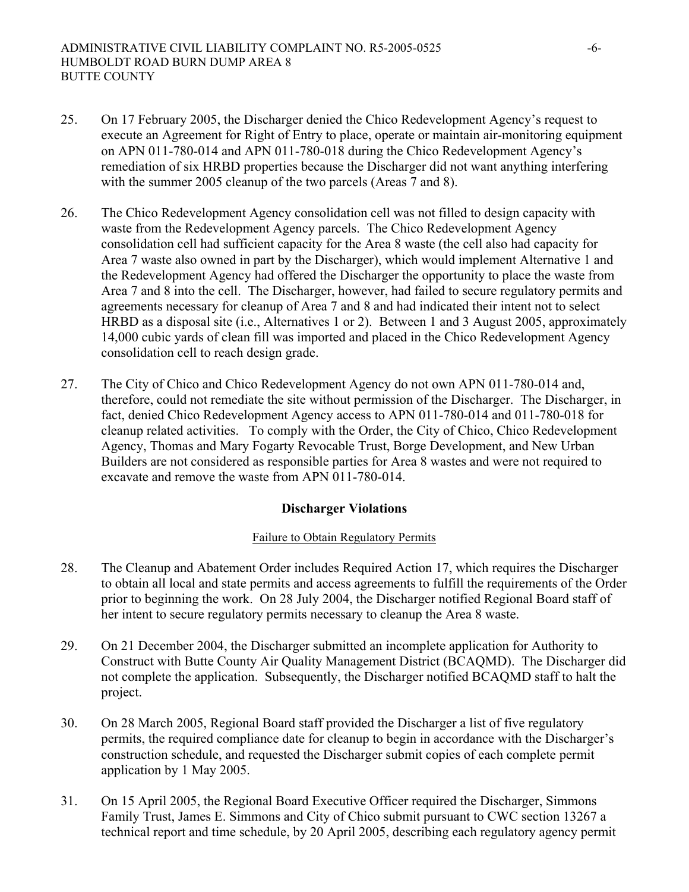- 25. On 17 February 2005, the Discharger denied the Chico Redevelopment Agency's request to execute an Agreement for Right of Entry to place, operate or maintain air-monitoring equipment on APN 011-780-014 and APN 011-780-018 during the Chico Redevelopment Agency's remediation of six HRBD properties because the Discharger did not want anything interfering with the summer 2005 cleanup of the two parcels (Areas 7 and 8).
- 26. The Chico Redevelopment Agency consolidation cell was not filled to design capacity with waste from the Redevelopment Agency parcels. The Chico Redevelopment Agency consolidation cell had sufficient capacity for the Area 8 waste (the cell also had capacity for Area 7 waste also owned in part by the Discharger), which would implement Alternative 1 and the Redevelopment Agency had offered the Discharger the opportunity to place the waste from Area 7 and 8 into the cell. The Discharger, however, had failed to secure regulatory permits and agreements necessary for cleanup of Area 7 and 8 and had indicated their intent not to select HRBD as a disposal site (i.e., Alternatives 1 or 2). Between 1 and 3 August 2005, approximately 14,000 cubic yards of clean fill was imported and placed in the Chico Redevelopment Agency consolidation cell to reach design grade.
- 27. The City of Chico and Chico Redevelopment Agency do not own APN 011-780-014 and, therefore, could not remediate the site without permission of the Discharger. The Discharger, in fact, denied Chico Redevelopment Agency access to APN 011-780-014 and 011-780-018 for cleanup related activities. To comply with the Order, the City of Chico, Chico Redevelopment Agency, Thomas and Mary Fogarty Revocable Trust, Borge Development, and New Urban Builders are not considered as responsible parties for Area 8 wastes and were not required to excavate and remove the waste from APN 011-780-014.

#### **Discharger Violations**

#### Failure to Obtain Regulatory Permits

- 28. The Cleanup and Abatement Order includes Required Action 17, which requires the Discharger to obtain all local and state permits and access agreements to fulfill the requirements of the Order prior to beginning the work. On 28 July 2004, the Discharger notified Regional Board staff of her intent to secure regulatory permits necessary to cleanup the Area 8 waste.
- 29. On 21 December 2004, the Discharger submitted an incomplete application for Authority to Construct with Butte County Air Quality Management District (BCAQMD). The Discharger did not complete the application. Subsequently, the Discharger notified BCAQMD staff to halt the project.
- 30. On 28 March 2005, Regional Board staff provided the Discharger a list of five regulatory permits, the required compliance date for cleanup to begin in accordance with the Discharger's construction schedule, and requested the Discharger submit copies of each complete permit application by 1 May 2005.
- 31. On 15 April 2005, the Regional Board Executive Officer required the Discharger, Simmons Family Trust, James E. Simmons and City of Chico submit pursuant to CWC section 13267 a technical report and time schedule, by 20 April 2005, describing each regulatory agency permit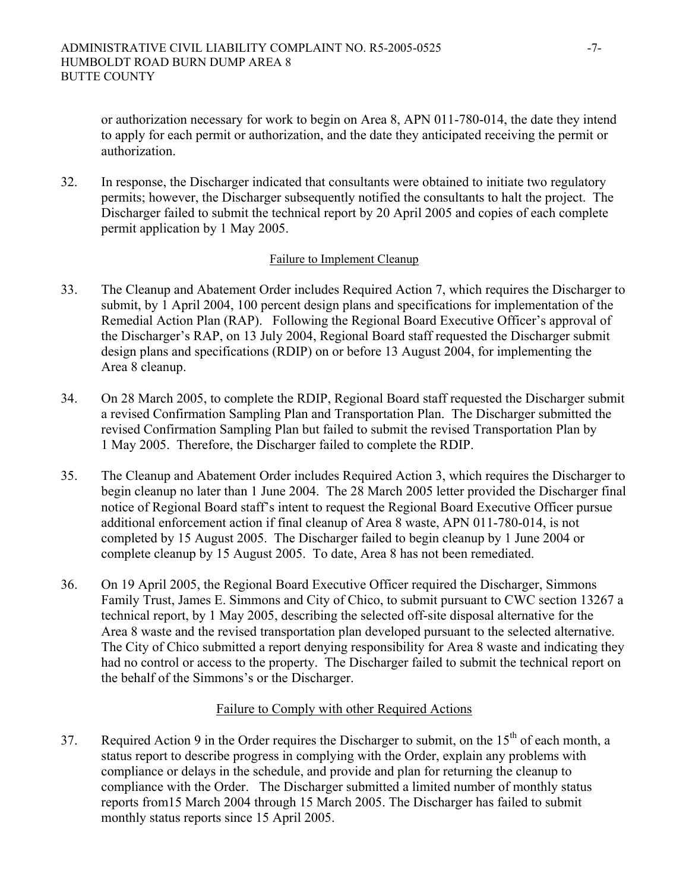or authorization necessary for work to begin on Area 8, APN 011-780-014, the date they intend to apply for each permit or authorization, and the date they anticipated receiving the permit or authorization.

32. In response, the Discharger indicated that consultants were obtained to initiate two regulatory permits; however, the Discharger subsequently notified the consultants to halt the project. The Discharger failed to submit the technical report by 20 April 2005 and copies of each complete permit application by 1 May 2005.

#### Failure to Implement Cleanup

- 33. The Cleanup and Abatement Order includes Required Action 7, which requires the Discharger to submit, by 1 April 2004, 100 percent design plans and specifications for implementation of the Remedial Action Plan (RAP). Following the Regional Board Executive Officer's approval of the Discharger's RAP, on 13 July 2004, Regional Board staff requested the Discharger submit design plans and specifications (RDIP) on or before 13 August 2004, for implementing the Area 8 cleanup.
- 34. On 28 March 2005, to complete the RDIP, Regional Board staff requested the Discharger submit a revised Confirmation Sampling Plan and Transportation Plan. The Discharger submitted the revised Confirmation Sampling Plan but failed to submit the revised Transportation Plan by 1 May 2005. Therefore, the Discharger failed to complete the RDIP.
- 35. The Cleanup and Abatement Order includes Required Action 3, which requires the Discharger to begin cleanup no later than 1 June 2004. The 28 March 2005 letter provided the Discharger final notice of Regional Board staff's intent to request the Regional Board Executive Officer pursue additional enforcement action if final cleanup of Area 8 waste, APN 011-780-014, is not completed by 15 August 2005. The Discharger failed to begin cleanup by 1 June 2004 or complete cleanup by 15 August 2005. To date, Area 8 has not been remediated.
- 36. On 19 April 2005, the Regional Board Executive Officer required the Discharger, Simmons Family Trust, James E. Simmons and City of Chico, to submit pursuant to CWC section 13267 a technical report, by 1 May 2005, describing the selected off-site disposal alternative for the Area 8 waste and the revised transportation plan developed pursuant to the selected alternative. The City of Chico submitted a report denying responsibility for Area 8 waste and indicating they had no control or access to the property. The Discharger failed to submit the technical report on the behalf of the Simmons's or the Discharger.

#### Failure to Comply with other Required Actions

37. Required Action 9 in the Order requires the Discharger to submit, on the  $15<sup>th</sup>$  of each month, a status report to describe progress in complying with the Order, explain any problems with compliance or delays in the schedule, and provide and plan for returning the cleanup to compliance with the Order. The Discharger submitted a limited number of monthly status reports from15 March 2004 through 15 March 2005. The Discharger has failed to submit monthly status reports since 15 April 2005.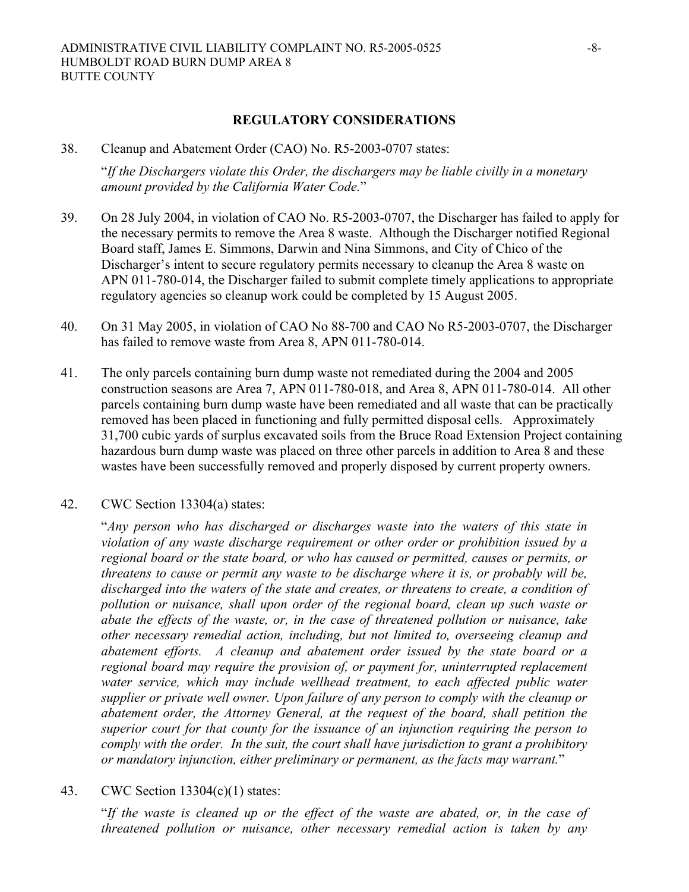38. Cleanup and Abatement Order (CAO) No. R5-2003-0707 states:

"*If the Dischargers violate this Order, the dischargers may be liable civilly in a monetary amount provided by the California Water Code.*"

- 39. On 28 July 2004, in violation of CAO No. R5-2003-0707, the Discharger has failed to apply for the necessary permits to remove the Area 8 waste. Although the Discharger notified Regional Board staff, James E. Simmons, Darwin and Nina Simmons, and City of Chico of the Discharger's intent to secure regulatory permits necessary to cleanup the Area 8 waste on APN 011-780-014, the Discharger failed to submit complete timely applications to appropriate regulatory agencies so cleanup work could be completed by 15 August 2005.
- 40. On 31 May 2005, in violation of CAO No 88-700 and CAO No R5-2003-0707, the Discharger has failed to remove waste from Area 8, APN 011-780-014.
- 41. The only parcels containing burn dump waste not remediated during the 2004 and 2005 construction seasons are Area 7, APN 011-780-018, and Area 8, APN 011-780-014. All other parcels containing burn dump waste have been remediated and all waste that can be practically removed has been placed in functioning and fully permitted disposal cells. Approximately 31,700 cubic yards of surplus excavated soils from the Bruce Road Extension Project containing hazardous burn dump waste was placed on three other parcels in addition to Area 8 and these wastes have been successfully removed and properly disposed by current property owners.
- 42. CWC Section 13304(a) states:

"*Any person who has discharged or discharges waste into the waters of this state in violation of any waste discharge requirement or other order or prohibition issued by a regional board or the state board, or who has caused or permitted, causes or permits, or threatens to cause or permit any waste to be discharge where it is, or probably will be, discharged into the waters of the state and creates, or threatens to create, a condition of pollution or nuisance, shall upon order of the regional board, clean up such waste or abate the effects of the waste, or, in the case of threatened pollution or nuisance, take other necessary remedial action, including, but not limited to, overseeing cleanup and abatement efforts. A cleanup and abatement order issued by the state board or a regional board may require the provision of, or payment for, uninterrupted replacement*  water service, which may include wellhead treatment, to each affected public water *supplier or private well owner. Upon failure of any person to comply with the cleanup or abatement order, the Attorney General, at the request of the board, shall petition the superior court for that county for the issuance of an injunction requiring the person to comply with the order. In the suit, the court shall have jurisdiction to grant a prohibitory or mandatory injunction, either preliminary or permanent, as the facts may warrant.*"

43. CWC Section 13304(c)(1) states:

"*If the waste is cleaned up or the effect of the waste are abated, or, in the case of threatened pollution or nuisance, other necessary remedial action is taken by any*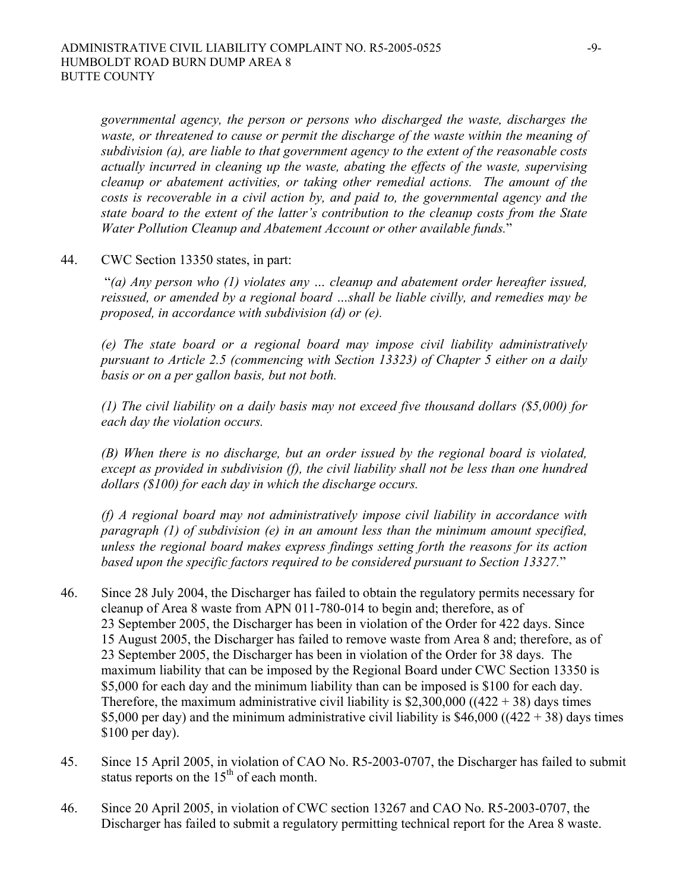*governmental agency, the person or persons who discharged the waste, discharges the waste, or threatened to cause or permit the discharge of the waste within the meaning of subdivision (a), are liable to that government agency to the extent of the reasonable costs actually incurred in cleaning up the waste, abating the effects of the waste, supervising cleanup or abatement activities, or taking other remedial actions. The amount of the costs is recoverable in a civil action by, and paid to, the governmental agency and the state board to the extent of the latter's contribution to the cleanup costs from the State Water Pollution Cleanup and Abatement Account or other available funds.*"

44. CWC Section 13350 states, in part:

 "*(a) Any person who (1) violates any … cleanup and abatement order hereafter issued, reissued, or amended by a regional board …shall be liable civilly, and remedies may be proposed, in accordance with subdivision (d) or (e).* 

*(e) The state board or a regional board may impose civil liability administratively pursuant to Article 2.5 (commencing with Section 13323) of Chapter 5 either on a daily basis or on a per gallon basis, but not both.* 

*(1) The civil liability on a daily basis may not exceed five thousand dollars (\$5,000) for each day the violation occurs.* 

*(B) When there is no discharge, but an order issued by the regional board is violated, except as provided in subdivision (f), the civil liability shall not be less than one hundred dollars (\$100) for each day in which the discharge occurs.* 

*(f) A regional board may not administratively impose civil liability in accordance with paragraph (1) of subdivision (e) in an amount less than the minimum amount specified, unless the regional board makes express findings setting forth the reasons for its action based upon the specific factors required to be considered pursuant to Section 13327.*"

- 46. Since 28 July 2004, the Discharger has failed to obtain the regulatory permits necessary for cleanup of Area 8 waste from APN 011-780-014 to begin and; therefore, as of 23 September 2005, the Discharger has been in violation of the Order for 422 days. Since 15 August 2005, the Discharger has failed to remove waste from Area 8 and; therefore, as of 23 September 2005, the Discharger has been in violation of the Order for 38 days.The maximum liability that can be imposed by the Regional Board under CWC Section 13350 is \$5,000 for each day and the minimum liability than can be imposed is \$100 for each day. Therefore, the maximum administrative civil liability is  $$2,300,000$  ((422 + 38) days times \$5,000 per day) and the minimum administrative civil liability is \$46,000 ((422 + 38) days times \$100 per day).
- 45. Since 15 April 2005, in violation of CAO No. R5-2003-0707, the Discharger has failed to submit status reports on the  $15<sup>th</sup>$  of each month.
- 46. Since 20 April 2005, in violation of CWC section 13267 and CAO No. R5-2003-0707, the Discharger has failed to submit a regulatory permitting technical report for the Area 8 waste.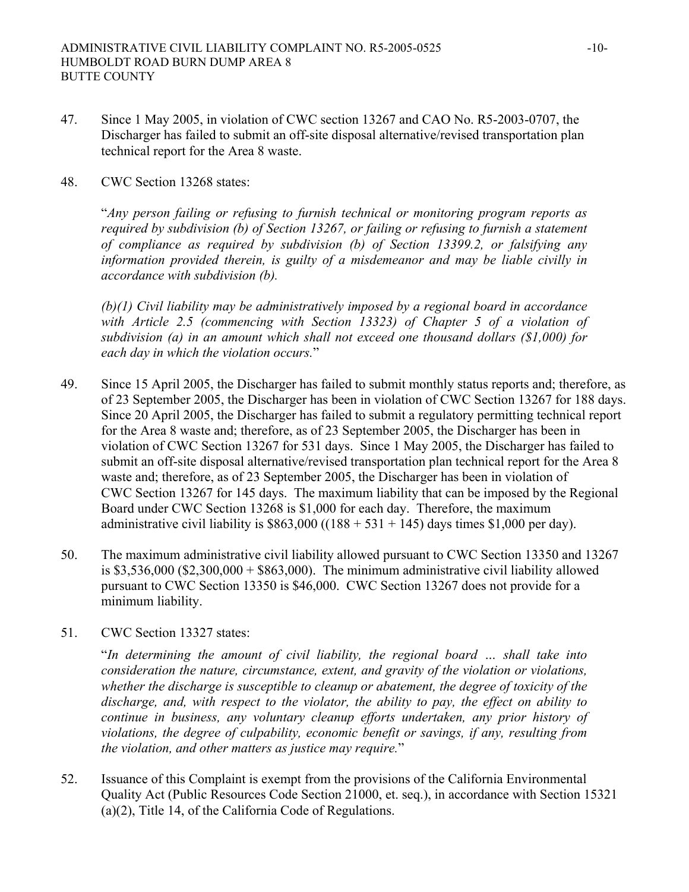- 47. Since 1 May 2005, in violation of CWC section 13267 and CAO No. R5-2003-0707, the Discharger has failed to submit an off-site disposal alternative/revised transportation plan technical report for the Area 8 waste.
- 48. CWC Section 13268 states:

"*Any person failing or refusing to furnish technical or monitoring program reports as required by subdivision (b) of Section 13267, or failing or refusing to furnish a statement of compliance as required by subdivision (b) of Section 13399.2, or falsifying any information provided therein, is guilty of a misdemeanor and may be liable civilly in accordance with subdivision (b).* 

*(b)(1) Civil liability may be administratively imposed by a regional board in accordance with Article 2.5 (commencing with Section 13323) of Chapter 5 of a violation of subdivision (a) in an amount which shall not exceed one thousand dollars (\$1,000) for each day in which the violation occurs.*"

- 49. Since 15 April 2005, the Discharger has failed to submit monthly status reports and; therefore, as of 23 September 2005, the Discharger has been in violation of CWC Section 13267 for 188 days. Since 20 April 2005, the Discharger has failed to submit a regulatory permitting technical report for the Area 8 waste and; therefore, as of 23 September 2005, the Discharger has been in violation of CWC Section 13267 for 531 days. Since 1 May 2005, the Discharger has failed to submit an off-site disposal alternative/revised transportation plan technical report for the Area 8 waste and; therefore, as of 23 September 2005, the Discharger has been in violation of CWC Section 13267 for 145 days. The maximum liability that can be imposed by the Regional Board under CWC Section 13268 is \$1,000 for each day. Therefore, the maximum administrative civil liability is  $$863,000$  ((188 + 531 + 145) days times \$1,000 per day).
- 50. The maximum administrative civil liability allowed pursuant to CWC Section 13350 and 13267 is  $$3,536,000$   $$2,300,000 + $863,000$ . The minimum administrative civil liability allowed pursuant to CWC Section 13350 is \$46,000. CWC Section 13267 does not provide for a minimum liability.
- 51. CWC Section 13327 states:

"*In determining the amount of civil liability, the regional board … shall take into consideration the nature, circumstance, extent, and gravity of the violation or violations, whether the discharge is susceptible to cleanup or abatement, the degree of toxicity of the discharge, and, with respect to the violator, the ability to pay, the effect on ability to continue in business, any voluntary cleanup efforts undertaken, any prior history of violations, the degree of culpability, economic benefit or savings, if any, resulting from the violation, and other matters as justice may require.*"

52. Issuance of this Complaint is exempt from the provisions of the California Environmental Quality Act (Public Resources Code Section 21000, et. seq.), in accordance with Section 15321 (a)(2), Title 14, of the California Code of Regulations.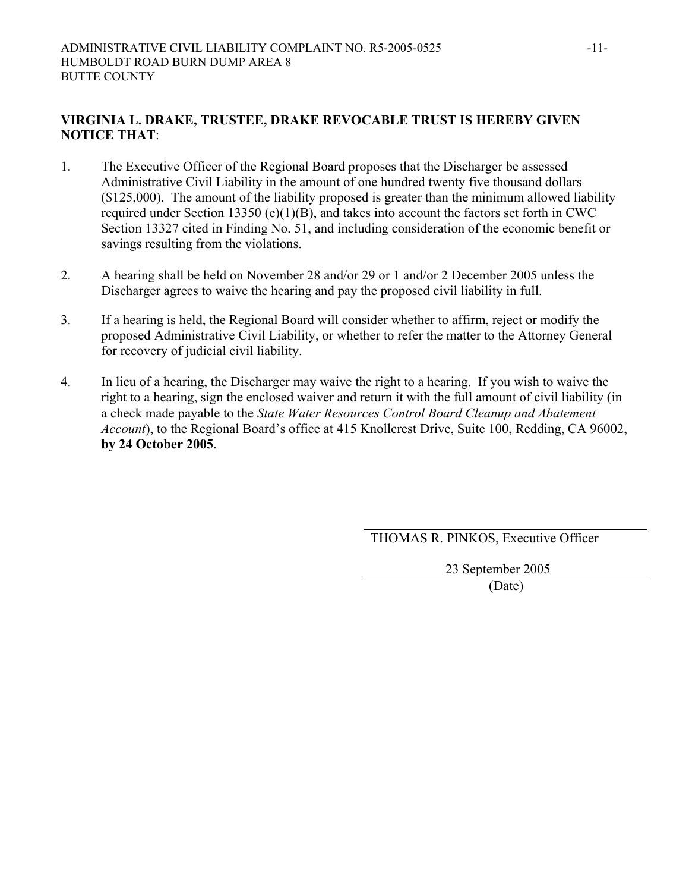### **VIRGINIA L. DRAKE, TRUSTEE, DRAKE REVOCABLE TRUST IS HEREBY GIVEN NOTICE THAT**:

- 1. The Executive Officer of the Regional Board proposes that the Discharger be assessed Administrative Civil Liability in the amount of one hundred twenty five thousand dollars (\$125,000). The amount of the liability proposed is greater than the minimum allowed liability required under Section 13350 (e)(1)(B), and takes into account the factors set forth in CWC Section 13327 cited in Finding No. 51, and including consideration of the economic benefit or savings resulting from the violations.
- 2. A hearing shall be held on November 28 and/or 29 or 1 and/or 2 December 2005 unless the Discharger agrees to waive the hearing and pay the proposed civil liability in full.
- 3. If a hearing is held, the Regional Board will consider whether to affirm, reject or modify the proposed Administrative Civil Liability, or whether to refer the matter to the Attorney General for recovery of judicial civil liability.
- 4. In lieu of a hearing, the Discharger may waive the right to a hearing. If you wish to waive the right to a hearing, sign the enclosed waiver and return it with the full amount of civil liability (in a check made payable to the *State Water Resources Control Board Cleanup and Abatement Account*), to the Regional Board's office at 415 Knollcrest Drive, Suite 100, Redding, CA 96002, **by 24 October 2005**.

THOMAS R. PINKOS, Executive Officer

23 September 2005

(Date)